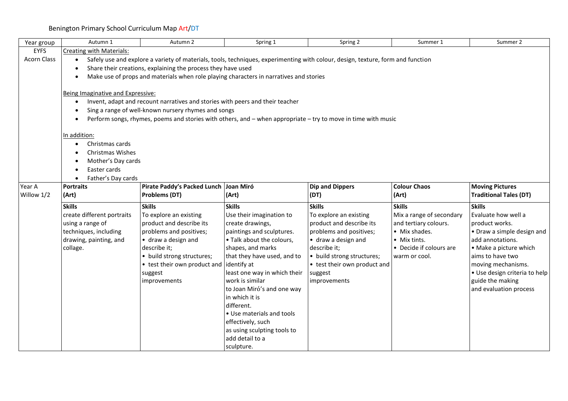| Year group         | Autumn 1                                                                                                                                     | Autumn 2                                                                      | Spring 1                                        | Spring 2                                                                                                      | Summer 1                 | Summer 2                                          |  |  |  |  |
|--------------------|----------------------------------------------------------------------------------------------------------------------------------------------|-------------------------------------------------------------------------------|-------------------------------------------------|---------------------------------------------------------------------------------------------------------------|--------------------------|---------------------------------------------------|--|--|--|--|
| <b>EYFS</b>        | <b>Creating with Materials:</b>                                                                                                              |                                                                               |                                                 |                                                                                                               |                          |                                                   |  |  |  |  |
| <b>Acorn Class</b> | Safely use and explore a variety of materials, tools, techniques, experimenting with colour, design, texture, form and function<br>$\bullet$ |                                                                               |                                                 |                                                                                                               |                          |                                                   |  |  |  |  |
|                    | Share their creations, explaining the process they have used                                                                                 |                                                                               |                                                 |                                                                                                               |                          |                                                   |  |  |  |  |
|                    | Make use of props and materials when role playing characters in narratives and stories                                                       |                                                                               |                                                 |                                                                                                               |                          |                                                   |  |  |  |  |
|                    |                                                                                                                                              |                                                                               |                                                 |                                                                                                               |                          |                                                   |  |  |  |  |
|                    | Being Imaginative and Expressive:                                                                                                            |                                                                               |                                                 |                                                                                                               |                          |                                                   |  |  |  |  |
|                    | $\bullet$                                                                                                                                    | Invent, adapt and recount narratives and stories with peers and their teacher |                                                 |                                                                                                               |                          |                                                   |  |  |  |  |
|                    |                                                                                                                                              | Sing a range of well-known nursery rhymes and songs                           |                                                 |                                                                                                               |                          |                                                   |  |  |  |  |
|                    | $\bullet$                                                                                                                                    |                                                                               |                                                 | Perform songs, rhymes, poems and stories with others, and – when appropriate – try to move in time with music |                          |                                                   |  |  |  |  |
|                    | In addition:                                                                                                                                 |                                                                               |                                                 |                                                                                                               |                          |                                                   |  |  |  |  |
|                    | Christmas cards<br>$\bullet$                                                                                                                 |                                                                               |                                                 |                                                                                                               |                          |                                                   |  |  |  |  |
|                    | Christmas Wishes                                                                                                                             |                                                                               |                                                 |                                                                                                               |                          |                                                   |  |  |  |  |
|                    | Mother's Day cards                                                                                                                           |                                                                               |                                                 |                                                                                                               |                          |                                                   |  |  |  |  |
|                    | Easter cards                                                                                                                                 |                                                                               |                                                 |                                                                                                               |                          |                                                   |  |  |  |  |
|                    | Father's Day cards<br>$\bullet$                                                                                                              |                                                                               |                                                 |                                                                                                               |                          |                                                   |  |  |  |  |
| Year A             | <b>Portraits</b>                                                                                                                             | Pirate Paddy's Packed Lunch Joan Miró                                         |                                                 | <b>Dip and Dippers</b>                                                                                        | <b>Colour Chaos</b>      | <b>Moving Pictures</b>                            |  |  |  |  |
| Willow 1/2         | (Art)                                                                                                                                        | Problems (DT)                                                                 | (Art)                                           | (DT)                                                                                                          | (Art)                    | <b>Traditional Tales (DT)</b>                     |  |  |  |  |
|                    | <b>Skills</b>                                                                                                                                | <b>Skills</b>                                                                 | <b>Skills</b>                                   | <b>Skills</b>                                                                                                 | <b>Skills</b>            | <b>Skills</b>                                     |  |  |  |  |
|                    | create different portraits                                                                                                                   | To explore an existing                                                        | Use their imagination to                        | To explore an existing                                                                                        | Mix a range of secondary | Evaluate how well a                               |  |  |  |  |
|                    | using a range of                                                                                                                             | product and describe its                                                      | create drawings,                                | product and describe its                                                                                      | and tertiary colours.    | product works.                                    |  |  |  |  |
|                    | techniques, including                                                                                                                        | problems and positives;                                                       | paintings and sculptures.                       | problems and positives;                                                                                       | • Mix shades.            | • Draw a simple design and                        |  |  |  |  |
|                    | drawing, painting, and                                                                                                                       | • draw a design and                                                           | • Talk about the colours,                       | • draw a design and                                                                                           | • Mix tints.             | add annotations.                                  |  |  |  |  |
|                    | collage.                                                                                                                                     | describe it;                                                                  | shapes, and marks                               | describe it;                                                                                                  | • Decide if colours are  | • Make a picture which                            |  |  |  |  |
|                    |                                                                                                                                              | • build strong structures;                                                    | that they have used, and to                     | • build strong structures;                                                                                    | warm or cool.            | aims to have two                                  |  |  |  |  |
|                    |                                                                                                                                              | • test their own product and identify at                                      |                                                 | • test their own product and                                                                                  |                          | moving mechanisms.                                |  |  |  |  |
|                    |                                                                                                                                              | suggest<br>improvements                                                       | least one way in which their<br>work is similar | suggest<br>improvements                                                                                       |                          | · Use design criteria to help<br>guide the making |  |  |  |  |
|                    |                                                                                                                                              |                                                                               | to Joan Miró's and one way                      |                                                                                                               |                          | and evaluation process                            |  |  |  |  |
|                    |                                                                                                                                              |                                                                               | in which it is                                  |                                                                                                               |                          |                                                   |  |  |  |  |
|                    |                                                                                                                                              |                                                                               | different.                                      |                                                                                                               |                          |                                                   |  |  |  |  |
|                    |                                                                                                                                              |                                                                               | • Use materials and tools                       |                                                                                                               |                          |                                                   |  |  |  |  |
|                    |                                                                                                                                              |                                                                               | effectively, such                               |                                                                                                               |                          |                                                   |  |  |  |  |
|                    |                                                                                                                                              |                                                                               | as using sculpting tools to                     |                                                                                                               |                          |                                                   |  |  |  |  |
|                    |                                                                                                                                              |                                                                               | add detail to a                                 |                                                                                                               |                          |                                                   |  |  |  |  |
|                    |                                                                                                                                              |                                                                               | sculpture.                                      |                                                                                                               |                          |                                                   |  |  |  |  |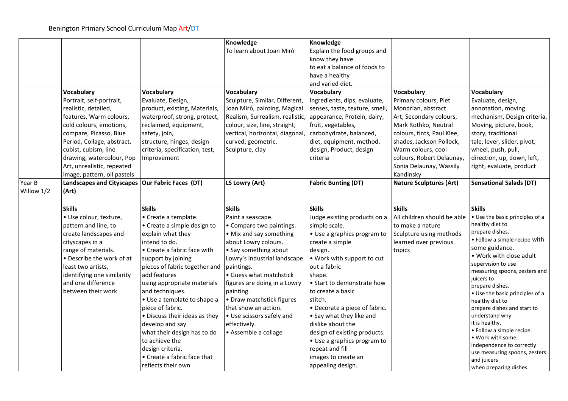|                      |                                                                                                                                                                                                                                                                                                |                                                                                                                                                                                                                                                                                                                                                                                                                                                                                                     | Knowledge<br>To learn about Joan Miró                                                                                                                                                                                                                                                                                                                                                      | Knowledge<br>Explain the food groups and<br>know they have<br>to eat a balance of foods to<br>have a healthy<br>and varied diet.                                                                                                                                                                                                                                                                                                                                  |                                                                                                                                                                                                                                                                   |                                                                                                                                                                                                                                                                                                                                                                                                                                                                                                                                               |
|----------------------|------------------------------------------------------------------------------------------------------------------------------------------------------------------------------------------------------------------------------------------------------------------------------------------------|-----------------------------------------------------------------------------------------------------------------------------------------------------------------------------------------------------------------------------------------------------------------------------------------------------------------------------------------------------------------------------------------------------------------------------------------------------------------------------------------------------|--------------------------------------------------------------------------------------------------------------------------------------------------------------------------------------------------------------------------------------------------------------------------------------------------------------------------------------------------------------------------------------------|-------------------------------------------------------------------------------------------------------------------------------------------------------------------------------------------------------------------------------------------------------------------------------------------------------------------------------------------------------------------------------------------------------------------------------------------------------------------|-------------------------------------------------------------------------------------------------------------------------------------------------------------------------------------------------------------------------------------------------------------------|-----------------------------------------------------------------------------------------------------------------------------------------------------------------------------------------------------------------------------------------------------------------------------------------------------------------------------------------------------------------------------------------------------------------------------------------------------------------------------------------------------------------------------------------------|
|                      | Vocabulary<br>Portrait, self-portrait,<br>realistic, detailed,<br>features, Warm colours,<br>cold colours, emotions,<br>compare, Picasso, Blue<br>Period, Collage, abstract,<br>cubist, cubism, line<br>drawing, watercolour, Pop<br>Art, unrealistic, repeated<br>image, pattern, oil pastels | Vocabulary<br>Evaluate, Design,<br>product, existing, Materials,<br>waterproof, strong, protect,<br>reclaimed, equipment,<br>safety, join,<br>structure, hinges, design<br>criteria, specification, test,<br>Improvement                                                                                                                                                                                                                                                                            | Vocabulary<br>Sculpture, Similar, Different,<br>Joan Miró, painting, Magical<br>Realism, Surrealism, realistic, appearance, Protein, dairy,<br>colour, size, line, straight,<br>vertical, horizontal, diagonal,<br>curved, geometric,<br>Sculpture, clay                                                                                                                                   | Vocabulary<br>Ingredients, dips, evaluate,<br>senses, taste, texture, smell,<br>fruit, vegetables,<br>carbohydrate, balanced,<br>diet, equipment, method,<br>design, Product, design<br>criteria                                                                                                                                                                                                                                                                  | Vocabulary<br>Primary colours, Piet<br>Mondrian, abstract<br>Art, Secondary colours,<br>Mark Rothko, Neutral<br>colours, tints, Paul Klee,<br>shades, Jackson Pollock,<br>Warm colours, cool<br>colours, Robert Delaunay,<br>Sonia Delaunay, Wassily<br>Kandinsky | Vocabulary<br>Evaluate, design,<br>annotation, moving<br>mechanism, Design criteria,<br>Moving, picture, book,<br>story, traditional<br>tale, lever, slider, pivot,<br>wheel, push, pull,<br>direction, up, down, left,<br>right, evaluate, product                                                                                                                                                                                                                                                                                           |
| Year B<br>Willow 1/2 | Landscapes and Cityscapes   Our Fabric Faces (DT)<br>(Art)                                                                                                                                                                                                                                     |                                                                                                                                                                                                                                                                                                                                                                                                                                                                                                     | LS Lowry (Art)                                                                                                                                                                                                                                                                                                                                                                             | <b>Fabric Bunting (DT)</b>                                                                                                                                                                                                                                                                                                                                                                                                                                        | <b>Nature Sculptures (Art)</b>                                                                                                                                                                                                                                    | <b>Sensational Salads (DT)</b>                                                                                                                                                                                                                                                                                                                                                                                                                                                                                                                |
|                      | <b>Skills</b><br>· Use colour, texture,<br>pattern and line, to<br>create landscapes and<br>cityscapes in a<br>range of materials.<br>• Describe the work of at<br>least two artists,<br>identifying one similarity<br>and one difference<br>between their work                                | <b>Skills</b><br>• Create a template.<br>• Create a simple design to<br>explain what they<br>intend to do.<br>• Create a fabric face with<br>support by joining<br>pieces of fabric together and<br>add features<br>using appropriate materials<br>and techniques.<br>• Use a template to shape a<br>piece of fabric.<br>• Discuss their ideas as they<br>develop and say<br>what their design has to do<br>to achieve the<br>design criteria.<br>• Create a fabric face that<br>reflects their own | <b>Skills</b><br>Paint a seascape.<br>• Compare two paintings.<br>• Mix and say something<br>about Lowry colours.<br>• Say something about<br>Lowry's industrial landscape<br>paintings.<br>• Guess what matchstick<br>figures are doing in a Lowry<br>painting.<br>• Draw matchstick figures<br>that show an action.<br>• Use scissors safely and<br>effectively.<br>• Assemble a collage | <b>Skills</b><br>Judge existing products on a<br>simple scale.<br>• Use a graphics program to<br>create a simple<br>design.<br>. Work with support to cut<br>out a fabric<br>shape.<br>• Start to demonstrate how<br>to create a basic<br>stitch.<br>• Decorate a piece of fabric.<br>• Say what they like and<br>dislike about the<br>design of existing products.<br>• Use a graphics program to<br>repeat and fill<br>images to create an<br>appealing design. | <b>Skills</b><br>All children should be able<br>to make a nature<br>Sculpture using methods<br>learned over previous<br>topics                                                                                                                                    | <b>Skills</b><br>. Use the basic principles of a<br>healthy diet to<br>prepare dishes.<br>• Follow a simple recipe with<br>some guidance.<br>. Work with close adult<br>supervision to use<br>measuring spoons, zesters and<br>juicers to<br>prepare dishes.<br>• Use the basic principles of a<br>healthy diet to<br>prepare dishes and start to<br>understand why<br>it is healthy.<br>• Follow a simple recipe.<br>• Work with some<br>independence to correctly<br>use measuring spoons, zesters<br>and juicers<br>when preparing dishes. |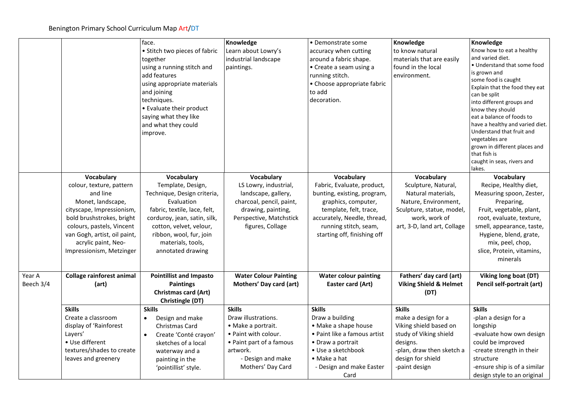|                     |                                                                                                                                                                                                                                                   | face.<br>• Stitch two pieces of fabric<br>together<br>using a running stitch and<br>add features<br>using appropriate materials<br>and joining<br>techniques.<br>• Evaluate their product<br>saying what they like<br>and what they could<br>improve. | Knowledge<br>Learn about Lowry's<br>industrial landscape<br>paintings.                                                                                               | • Demonstrate some<br>accuracy when cutting<br>around a fabric shape.<br>• Create a seam using a<br>running stitch.<br>• Choose appropriate fabric<br>to add<br>decoration.                                     | Knowledge<br>to know natural<br>materials that are easily<br>found in the local<br>environment.                                                                         | Knowledge<br>Know how to eat a healthy<br>and varied diet.<br>• Understand that some food<br>is grown and<br>some food is caught<br>Explain that the food they eat<br>can be split<br>into different groups and<br>know they should<br>eat a balance of foods to<br>have a healthy and varied diet.<br>Understand that fruit and<br>vegetables are<br>grown in different places and<br>that fish is<br>caught in seas, rivers and<br>lakes. |
|---------------------|---------------------------------------------------------------------------------------------------------------------------------------------------------------------------------------------------------------------------------------------------|-------------------------------------------------------------------------------------------------------------------------------------------------------------------------------------------------------------------------------------------------------|----------------------------------------------------------------------------------------------------------------------------------------------------------------------|-----------------------------------------------------------------------------------------------------------------------------------------------------------------------------------------------------------------|-------------------------------------------------------------------------------------------------------------------------------------------------------------------------|---------------------------------------------------------------------------------------------------------------------------------------------------------------------------------------------------------------------------------------------------------------------------------------------------------------------------------------------------------------------------------------------------------------------------------------------|
|                     | Vocabulary<br>colour, texture, pattern<br>and line<br>Monet, landscape,<br>cityscape, Impressionism,<br>bold brushstrokes, bright<br>colours, pastels, Vincent<br>van Gogh, artist, oil paint,<br>acrylic paint, Neo-<br>Impressionism, Metzinger | Vocabulary<br>Template, Design,<br>Technique, Design criteria,<br>Evaluation<br>fabric, textile, lace, felt,<br>corduroy, jean, satin, silk,<br>cotton, velvet, velour,<br>ribbon, wool, fur, join<br>materials, tools,<br>annotated drawing          | Vocabulary<br>LS Lowry, industrial,<br>landscape, gallery,<br>charcoal, pencil, paint,<br>drawing, painting,<br>Perspective, Matchstick<br>figures, Collage          | Vocabulary<br>Fabric, Evaluate, product,<br>bunting, existing, program,<br>graphics, computer,<br>template, felt, trace,<br>accurately, Needle, thread,<br>running stitch, seam,<br>starting off, finishing off | Vocabulary<br>Sculpture, Natural,<br>Natural materials,<br>Nature, Environment,<br>Sculpture, statue, model,<br>work, work of<br>art, 3-D, land art, Collage            | Vocabulary<br>Recipe, Healthy diet,<br>Measuring spoon, Zester,<br>Preparing,<br>Fruit, vegetable, plant,<br>root, evaluate, texture,<br>smell, appearance, taste,<br>Hygiene, blend, grate,<br>mix, peel, chop,<br>slice, Protein, vitamins,<br>minerals                                                                                                                                                                                   |
| Year A<br>Beech 3/4 | <b>Collage rainforest animal</b><br>(art)                                                                                                                                                                                                         | <b>Pointillist and Impasto</b><br><b>Paintings</b><br><b>Christmas card (Art)</b><br>Christingle (DT)                                                                                                                                                 | <b>Water Colour Painting</b><br>Mothers' Day card (art)                                                                                                              | <b>Water colour painting</b><br>Easter card (Art)                                                                                                                                                               | Fathers' day card (art)<br><b>Viking Shield &amp; Helmet</b><br>(DT)                                                                                                    | Viking long boat (DT)<br>Pencil self-portrait (art)                                                                                                                                                                                                                                                                                                                                                                                         |
|                     | <b>Skills</b><br>Create a classroom<br>display of 'Rainforest<br>Layers'<br>• Use different<br>textures/shades to create<br>leaves and greenery                                                                                                   | <b>Skills</b><br>Design and make<br>$\bullet$<br>Christmas Card<br>Create 'Conté crayon'<br>$\bullet$<br>sketches of a local<br>waterway and a<br>painting in the<br>'pointillist' style.                                                             | <b>Skills</b><br>Draw illustrations.<br>· Make a portrait.<br>• Paint with colour.<br>• Paint part of a famous<br>artwork.<br>- Design and make<br>Mothers' Day Card | <b>Skills</b><br>Draw a building<br>• Make a shape house<br>• Paint like a famous artist<br>• Draw a portrait<br>• Use a sketchbook<br>$\bullet$ Make a hat<br>- Design and make Easter<br>Card                 | <b>Skills</b><br>make a design for a<br>Viking shield based on<br>study of Viking shield<br>designs.<br>-plan, draw then sketch a<br>design for shield<br>-paint design | <b>Skills</b><br>-plan a design for a<br>longship<br>-evaluate how own design<br>could be improved<br>-create strength in their<br>structure<br>-ensure ship is of a similar<br>design style to an original                                                                                                                                                                                                                                 |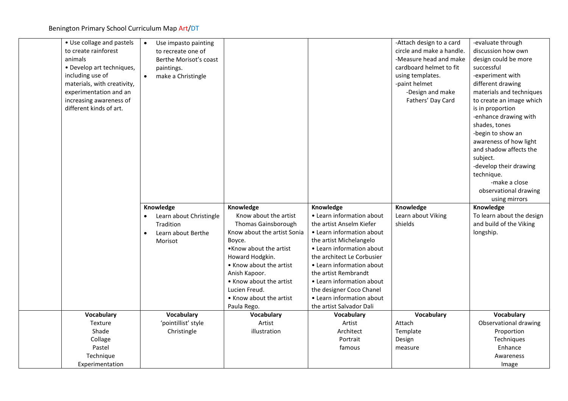| • Use collage and pastels    | $\bullet$<br>Use impasto painting |                             |                            | -Attach design to a card  | -evaluate through         |
|------------------------------|-----------------------------------|-----------------------------|----------------------------|---------------------------|---------------------------|
| to create rainforest         | to recreate one of                |                             |                            | circle and make a handle. | discussion how own        |
| animals                      | Berthe Morisot's coast            |                             |                            | -Measure head and make    | design could be more      |
| • Develop art techniques,    | paintings.                        |                             |                            | cardboard helmet to fit   | successful                |
| including use of             | make a Christingle<br>$\bullet$   |                             |                            | using templates.          | -experiment with          |
| materials, with creativity,  |                                   |                             |                            | -paint helmet             | different drawing         |
| experimentation and an       |                                   |                             |                            | -Design and make          | materials and techniques  |
| increasing awareness of      |                                   |                             |                            | Fathers' Day Card         | to create an image which  |
| different kinds of art.      |                                   |                             |                            |                           | is in proportion          |
|                              |                                   |                             |                            |                           | -enhance drawing with     |
|                              |                                   |                             |                            |                           | shades, tones             |
|                              |                                   |                             |                            |                           | -begin to show an         |
|                              |                                   |                             |                            |                           | awareness of how light    |
|                              |                                   |                             |                            |                           | and shadow affects the    |
|                              |                                   |                             |                            |                           | subject.                  |
|                              |                                   |                             |                            |                           | -develop their drawing    |
|                              |                                   |                             |                            |                           | technique.                |
|                              |                                   |                             |                            |                           | -make a close             |
|                              |                                   |                             |                            |                           | observational drawing     |
|                              |                                   |                             |                            |                           | using mirrors             |
|                              |                                   |                             |                            |                           |                           |
|                              | Knowledge                         | Knowledge                   | Knowledge                  | Knowledge                 | Knowledge                 |
|                              | Learn about Christingle           | Know about the artist       | • Learn information about  | Learn about Viking        | To learn about the design |
|                              | Tradition                         | Thomas Gainsborough         | the artist Anselm Kiefer   | shields                   | and build of the Viking   |
|                              | Learn about Berthe<br>$\bullet$   | Know about the artist Sonia | • Learn information about  |                           | longship.                 |
|                              | Morisot                           | Boyce.                      | the artist Michelangelo    |                           |                           |
|                              |                                   | • Know about the artist     | • Learn information about  |                           |                           |
|                              |                                   | Howard Hodgkin.             | the architect Le Corbusier |                           |                           |
|                              |                                   | • Know about the artist     | • Learn information about  |                           |                           |
|                              |                                   | Anish Kapoor.               | the artist Rembrandt       |                           |                           |
|                              |                                   | • Know about the artist     | • Learn information about  |                           |                           |
|                              |                                   | Lucien Freud.               | the designer Coco Chanel   |                           |                           |
|                              |                                   | • Know about the artist     | • Learn information about  |                           |                           |
|                              |                                   | Paula Rego.                 | the artist Salvador Dali   |                           |                           |
| Vocabulary                   | Vocabulary                        | Vocabulary                  | <b>Vocabulary</b>          | Vocabulary                | Vocabulary                |
| Texture                      | 'pointillist' style               | Artist                      | Artist                     | Attach                    | Observational drawing     |
| Shade                        | Christingle                       | illustration                | Architect                  | Template                  | Proportion                |
| Collage                      |                                   |                             | Portrait                   | Design                    | Techniques                |
| Pastel                       |                                   |                             | famous                     | measure                   | Enhance                   |
| Technique<br>Experimentation |                                   |                             |                            |                           | Awareness<br>Image        |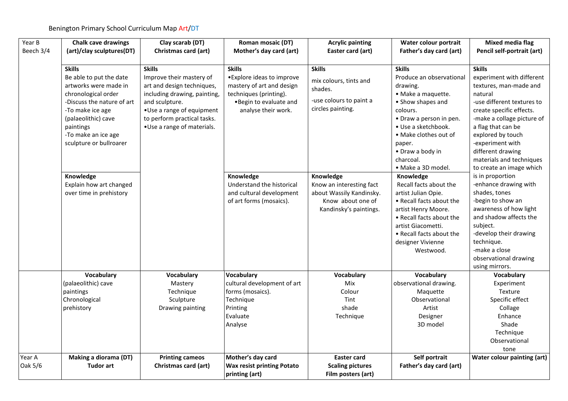| Year B    | <b>Chalk cave drawings</b> | Clay scarab (DT)             | Roman mosaic (DT)                                   | <b>Acrylic painting</b>                       | Water colour portrait    | <b>Mixed media flag</b>     |
|-----------|----------------------------|------------------------------|-----------------------------------------------------|-----------------------------------------------|--------------------------|-----------------------------|
| Beech 3/4 | (art)/clay sculptures(DT)  | Christmas card (art)         | Mother's day card (art)                             | Easter card (art)                             | Father's day card (art)  | Pencil self-portrait (art)  |
|           |                            |                              |                                                     |                                               |                          |                             |
|           | <b>Skills</b>              | <b>Skills</b>                | <b>Skills</b>                                       | <b>Skills</b>                                 | <b>Skills</b>            | <b>Skills</b>               |
|           | Be able to put the date    | Improve their mastery of     | • Explore ideas to improve                          | mix colours, tints and                        | Produce an observational | experiment with different   |
|           | artworks were made in      | art and design techniques,   | mastery of art and design                           | shades.                                       | drawing.                 | textures, man-made and      |
|           | chronological order        | including drawing, painting, | techniques (printing).                              |                                               | · Make a maquette.       | natural                     |
|           | -Discuss the nature of art | and sculpture.               | . Begin to evaluate and                             | -use colours to paint a                       | • Show shapes and        | -use different textures to  |
|           | -To make ice age           | • Use a range of equipment   | analyse their work.                                 | circles painting.                             | colours.                 | create specific effects.    |
|           | (palaeolithic) cave        | to perform practical tasks.  |                                                     |                                               | • Draw a person in pen.  | -make a collage picture of  |
|           | paintings                  | •Use a range of materials.   |                                                     |                                               | · Use a sketchbook.      | a flag that can be          |
|           | -To make an ice age        |                              |                                                     |                                               | • Make clothes out of    | explored by touch           |
|           | sculpture or bullroarer    |                              |                                                     |                                               | paper.                   | -experiment with            |
|           |                            |                              |                                                     |                                               | • Draw a body in         | different drawing           |
|           |                            |                              |                                                     |                                               | charcoal.                | materials and techniques    |
|           |                            |                              |                                                     |                                               | • Make a 3D model.       | to create an image which    |
|           | Knowledge                  |                              | Knowledge                                           | Knowledge                                     | Knowledge                | is in proportion            |
|           | Explain how art changed    |                              | Understand the historical                           | Know an interesting fact                      | Recall facts about the   | -enhance drawing with       |
|           | over time in prehistory    |                              | and cultural development                            | about Wassily Kandinsky.                      | artist Julian Opie.      | shades, tones               |
|           |                            |                              | of art forms (mosaics).                             | Know about one of                             | • Recall facts about the | -begin to show an           |
|           |                            |                              |                                                     | Kandinsky's paintings.                        | artist Henry Moore.      | awareness of how light      |
|           |                            |                              |                                                     |                                               | • Recall facts about the | and shadow affects the      |
|           |                            |                              |                                                     |                                               | artist Giacometti.       | subject.                    |
|           |                            |                              |                                                     |                                               | • Recall facts about the | -develop their drawing      |
|           |                            |                              |                                                     |                                               | designer Vivienne        | technique.                  |
|           |                            |                              |                                                     |                                               | Westwood.                | -make a close               |
|           |                            |                              |                                                     |                                               |                          | observational drawing       |
|           |                            |                              |                                                     |                                               |                          | using mirrors.              |
|           | Vocabulary                 | <b>Vocabulary</b>            | <b>Vocabulary</b>                                   | Vocabulary                                    | Vocabulary               | Vocabulary                  |
|           | (palaeolithic) cave        | Mastery                      | cultural development of art                         | Mix                                           | observational drawing.   | Experiment                  |
|           | paintings                  | Technique                    | forms (mosaics).                                    | Colour                                        | Maguette                 | Texture                     |
|           | Chronological              | Sculpture                    | Technique                                           | Tint                                          | Observational            | Specific effect             |
|           | prehistory                 | Drawing painting             | Printing                                            | shade                                         | Artist                   | Collage                     |
|           |                            |                              | Evaluate                                            | Technique                                     | Designer                 | Enhance                     |
|           |                            |                              | Analyse                                             |                                               | 3D model                 | Shade                       |
|           |                            |                              |                                                     |                                               |                          | Technique                   |
|           |                            |                              |                                                     |                                               |                          | Observational               |
|           |                            |                              |                                                     |                                               |                          | tone                        |
| Year A    | Making a diorama (DT)      | <b>Printing cameos</b>       | Mother's day card                                   | <b>Easter card</b>                            | Self portrait            | Water colour painting (art) |
| Oak 5/6   | <b>Tudor art</b>           | <b>Christmas card (art)</b>  | <b>Wax resist printing Potato</b><br>printing (art) | <b>Scaling pictures</b><br>Film posters (art) | Father's day card (art)  |                             |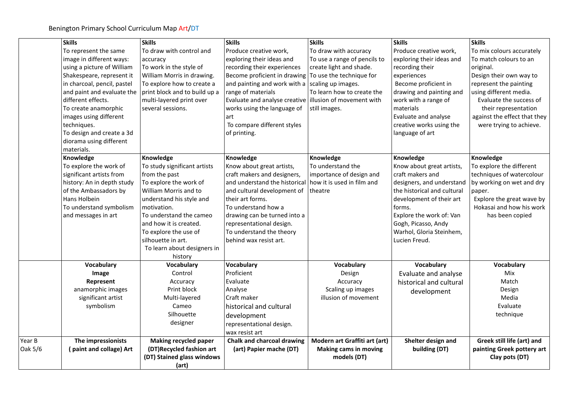|         | <b>Skills</b>                                                            | <b>Skills</b>                                                                  | <b>Skills</b>                                                                                                | <b>Skills</b>                               | <b>Skills</b>                                                 | <b>Skills</b>                                                             |
|---------|--------------------------------------------------------------------------|--------------------------------------------------------------------------------|--------------------------------------------------------------------------------------------------------------|---------------------------------------------|---------------------------------------------------------------|---------------------------------------------------------------------------|
|         | To represent the same                                                    | To draw with control and                                                       | Produce creative work,                                                                                       | To draw with accuracy                       | Produce creative work,                                        | To mix colours accurately                                                 |
|         | image in different ways:                                                 | accuracy                                                                       | exploring their ideas and                                                                                    | To use a range of pencils to                | exploring their ideas and                                     | To match colours to an                                                    |
|         | using a picture of William                                               | To work in the style of                                                        | recording their experiences                                                                                  | create light and shade.                     | recording their                                               | original.                                                                 |
|         | Shakespeare, represent it                                                | William Morris in drawing.                                                     | Become proficient in drawing To use the technique for                                                        |                                             | experiences                                                   | Design their own way to                                                   |
|         | in charcoal, pencil, pastel                                              | To explore how to create a                                                     | and painting and work with a scaling up images.                                                              |                                             | Become proficient in                                          | represent the painting                                                    |
|         | and paint and evaluate the<br>different effects.<br>To create anamorphic | print block and to build up a<br>multi-layered print over<br>several sessions. | range of materials<br>Evaluate and analyse creative illusion of movement with<br>works using the language of | To learn how to create the<br>still images. | drawing and painting and<br>work with a range of<br>materials | using different media.<br>Evaluate the success of<br>their representation |
|         | images using different                                                   |                                                                                | art                                                                                                          |                                             | Evaluate and analyse                                          | against the effect that they                                              |
|         | techniques.                                                              |                                                                                | To compare different styles                                                                                  |                                             | creative works using the                                      | were trying to achieve.                                                   |
|         | To design and create a 3d<br>diorama using different                     |                                                                                | of printing.                                                                                                 |                                             | language of art                                               |                                                                           |
|         | materials.                                                               |                                                                                |                                                                                                              |                                             |                                                               |                                                                           |
|         | Knowledge<br>To explore the work of                                      | Knowledge                                                                      | Knowledge                                                                                                    | Knowledge<br>To understand the              | Knowledge                                                     | Knowledge<br>To explore the different                                     |
|         | significant artists from                                                 | To study significant artists<br>from the past                                  | Know about great artists,<br>craft makers and designers,                                                     | importance of design and                    | Know about great artists,<br>craft makers and                 | techniques of watercolour                                                 |
|         | history: An in depth study                                               | To explore the work of                                                         | and understand the historical                                                                                | how it is used in film and                  | designers, and understand                                     | by working on wet and dry                                                 |
|         | of the Ambassadors by                                                    | William Morris and to                                                          | and cultural development of                                                                                  | theatre                                     | the historical and cultural                                   | paper.                                                                    |
|         | Hans Holbein                                                             | understand his style and                                                       | their art forms.                                                                                             |                                             | development of their art                                      | Explore the great wave by                                                 |
|         | To understand symbolism                                                  | motivation.                                                                    | To understand how a                                                                                          |                                             | forms.                                                        | Hokasai and how his work                                                  |
|         | and messages in art                                                      | To understand the cameo                                                        | drawing can be turned into a                                                                                 |                                             | Explore the work of: Van                                      | has been copied                                                           |
|         |                                                                          | and how it is created.                                                         | representational design.                                                                                     |                                             | Gogh, Picasso, Andy                                           |                                                                           |
|         |                                                                          | To explore the use of                                                          | To understand the theory                                                                                     |                                             | Warhol, Gloria Steinhem,                                      |                                                                           |
|         |                                                                          | silhouette in art.                                                             | behind wax resist art.                                                                                       |                                             | Lucien Freud.                                                 |                                                                           |
|         |                                                                          | To learn about designers in                                                    |                                                                                                              |                                             |                                                               |                                                                           |
|         |                                                                          | history                                                                        |                                                                                                              |                                             |                                                               |                                                                           |
|         | Vocabulary                                                               | Vocabulary                                                                     | Vocabulary                                                                                                   | Vocabulary                                  | Vocabulary                                                    | Vocabulary                                                                |
|         | Image                                                                    | Control                                                                        | Proficient                                                                                                   | Design                                      | Evaluate and analyse                                          | Mix                                                                       |
|         | Represent                                                                | Accuracy                                                                       | Evaluate                                                                                                     | Accuracy                                    | historical and cultural                                       | Match                                                                     |
|         | anamorphic images                                                        | Print block                                                                    | Analyse                                                                                                      | Scaling up images                           | development                                                   | Design                                                                    |
|         | significant artist                                                       | Multi-layered                                                                  | Craft maker                                                                                                  | illusion of movement                        |                                                               | Media                                                                     |
|         | symbolism                                                                | Cameo                                                                          | historical and cultural                                                                                      |                                             |                                                               | Evaluate                                                                  |
|         |                                                                          | Silhouette                                                                     | development                                                                                                  |                                             |                                                               | technique                                                                 |
|         |                                                                          | designer                                                                       | representational design.                                                                                     |                                             |                                                               |                                                                           |
|         |                                                                          |                                                                                | wax resist art                                                                                               |                                             |                                                               |                                                                           |
| Year B  | The impressionists                                                       | <b>Making recycled paper</b>                                                   | Chalk and charcoal drawing                                                                                   | Modern art Graffiti art (art)               | Shelter design and                                            | Greek still life (art) and                                                |
| Oak 5/6 | (paint and collage) Art                                                  | (DT)Recycled fashion art                                                       | (art) Papier mache (DT)                                                                                      | <b>Making cams in moving</b>                | building (DT)                                                 | painting Greek pottery art                                                |
|         |                                                                          | (DT) Stained glass windows                                                     |                                                                                                              | models (DT)                                 |                                                               | Clay pots (DT)                                                            |
|         |                                                                          | (art)                                                                          |                                                                                                              |                                             |                                                               |                                                                           |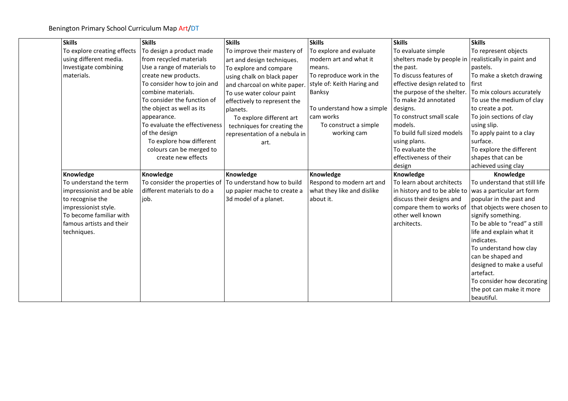| <b>Skills</b>               | <b>Skills</b>                 | <b>Skills</b>                 | <b>Skills</b>              | <b>Skills</b>                | <b>Skills</b>                 |
|-----------------------------|-------------------------------|-------------------------------|----------------------------|------------------------------|-------------------------------|
| To explore creating effects | To design a product made      | To improve their mastery of   | To explore and evaluate    | To evaluate simple           | To represent objects          |
| using different media.      | from recycled materials       | art and design techniques.    | modern art and what it     | shelters made by people in   | realistically in paint and    |
| Investigate combining       | Use a range of materials to   | To explore and compare        | means.                     | the past.                    | pastels.                      |
| materials.                  | create new products.          | using chalk on black paper    | To reproduce work in the   | To discuss features of       | To make a sketch drawing      |
|                             | To consider how to join and   | and charcoal on white paper   | style of: Keith Haring and | effective design related to  | first                         |
|                             | combine materials.            | To use water colour paint     | Banksy                     | the purpose of the shelter.  | To mix colours accurately     |
|                             | To consider the function of   | effectively to represent the  |                            | To make 2d annotated         | To use the medium of clay     |
|                             | the object as well as its     | planets.                      | To understand how a simple | designs.                     | to create a pot.              |
|                             | appearance.                   | To explore different art      | cam works                  | To construct small scale     | To join sections of clay      |
|                             | To evaluate the effectiveness | techniques for creating the   | To construct a simple      | models.                      | using slip.                   |
|                             | of the design                 | representation of a nebula in | working cam                | To build full sized models   | To apply paint to a clay      |
|                             | To explore how different      | art.                          |                            | using plans.                 | surface.                      |
|                             | colours can be merged to      |                               |                            | To evaluate the              | To explore the different      |
|                             | create new effects            |                               |                            | effectiveness of their       | shapes that can be            |
|                             |                               |                               |                            | design                       | achieved using clay           |
| Knowledge                   | Knowledge                     | Knowledge                     | Knowledge                  | Knowledge                    | Knowledge                     |
| To understand the term      | To consider the properties of | To understand how to build    | Respond to modern art and  | To learn about architects    | To understand that still life |
| impressionist and be able   | different materials to do a   | up papier mache to create a   | what they like and dislike | in history and to be able to | was a particular art form     |
| to recognise the            | job.                          | 3d model of a planet.         | about it.                  | discuss their designs and    | popular in the past and       |
| impressionist style.        |                               |                               |                            | compare them to works of     | that objects were chosen to   |
| To become familiar with     |                               |                               |                            | other well known             | signify something.            |
| famous artists and their    |                               |                               |                            | architects.                  | To be able to "read" a still  |
| techniques.                 |                               |                               |                            |                              | life and explain what it      |
|                             |                               |                               |                            |                              | indicates.                    |
|                             |                               |                               |                            |                              | To understand how clay        |
|                             |                               |                               |                            |                              | can be shaped and             |
|                             |                               |                               |                            |                              | designed to make a useful     |
|                             |                               |                               |                            |                              |                               |
|                             |                               |                               |                            |                              | artefact.                     |
|                             |                               |                               |                            |                              | To consider how decorating    |
|                             |                               |                               |                            |                              | the pot can make it more      |